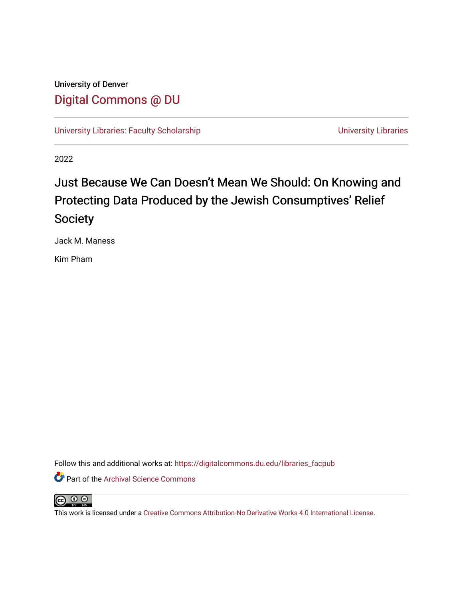# University of Denver [Digital Commons @ DU](https://digitalcommons.du.edu/)

[University Libraries: Faculty Scholarship](https://digitalcommons.du.edu/libraries_facpub) View Communication Control Control Control Control Control Control Co

2022

# Just Because We Can Doesn't Mean We Should: On Knowing and Protecting Data Produced by the Jewish Consumptives' Relief Society

Jack M. Maness

Kim Pham

Follow this and additional works at: [https://digitalcommons.du.edu/libraries\\_facpub](https://digitalcommons.du.edu/libraries_facpub?utm_source=digitalcommons.du.edu%2Flibraries_facpub%2F81&utm_medium=PDF&utm_campaign=PDFCoverPages)

**C** Part of the Archival Science Commons



This work is licensed under a [Creative Commons Attribution-No Derivative Works 4.0 International License](https://creativecommons.org/licenses/by-nd/4.0/).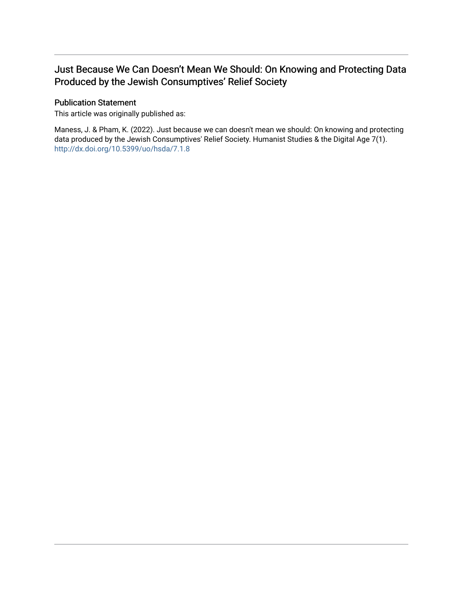## Just Because We Can Doesn't Mean We Should: On Knowing and Protecting Data Produced by the Jewish Consumptives' Relief Society

#### Publication Statement

This article was originally published as:

Maness, J. & Pham, K. (2022). Just because we can doesn't mean we should: On knowing and protecting data produced by the Jewish Consumptives' Relief Society. Humanist Studies & the Digital Age 7(1). <http://dx.doi.org/10.5399/uo/hsda/7.1.8>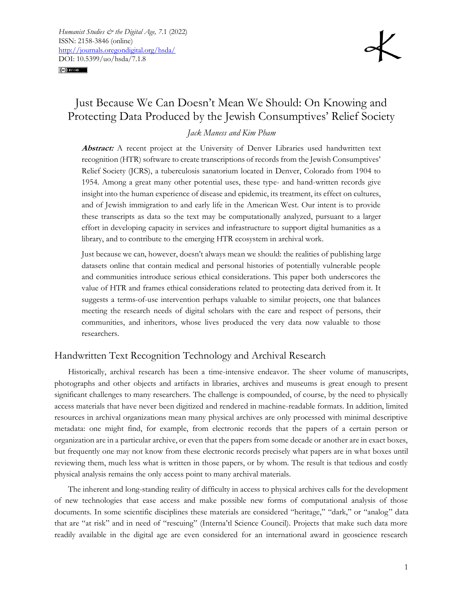#### $(c)$ ) BY-ND



## Just Because We Can Doesn't Mean We Should: On Knowing and Protecting Data Produced by the Jewish Consumptives' Relief Society

#### *Jack Maness and Kim Pham*

Abstract: A recent project at the University of Denver Libraries used handwritten text recognition (HTR) software to create transcriptions of records from the Jewish Consumptives' Relief Society (JCRS), a tuberculosis sanatorium located in Denver, Colorado from 1904 to 1954. Among a great many other potential uses, these type- and hand-written records give insight into the human experience of disease and epidemic, its treatment, its effect on cultures, and of Jewish immigration to and early life in the American West. Our intent is to provide these transcripts as data so the text may be computationally analyzed, pursuant to a larger effort in developing capacity in services and infrastructure to support digital humanities as a library, and to contribute to the emerging HTR ecosystem in archival work.

Just because we can, however, doesn't always mean we should: the realities of publishing large datasets online that contain medical and personal histories of potentially vulnerable people and communities introduce serious ethical considerations. This paper both underscores the value of HTR and frames ethical considerations related to protecting data derived from it. It suggests a terms-of-use intervention perhaps valuable to similar projects, one that balances meeting the research needs of digital scholars with the care and respect of persons, their communities, and inheritors, whose lives produced the very data now valuable to those researchers.

### Handwritten Text Recognition Technology and Archival Research

Historically, archival research has been a time-intensive endeavor. The sheer volume of manuscripts, photographs and other objects and artifacts in libraries, archives and museums is great enough to present significant challenges to many researchers. The challenge is compounded, of course, by the need to physically access materials that have never been digitized and rendered in machine-readable formats. In addition, limited resources in archival organizations mean many physical archives are only processed with minimal descriptive metadata: one might find, for example, from electronic records that the papers of a certain person or organization are in a particular archive, or even that the papers from some decade or another are in exact boxes, but frequently one may not know from these electronic records precisely what papers are in what boxes until reviewing them, much less what is written in those papers, or by whom. The result is that tedious and costly physical analysis remains the only access point to many archival materials.

The inherent and long-standing reality of difficulty in access to physical archives calls for the development of new technologies that ease access and make possible new forms of computational analysis of those documents. In some scientific disciplines these materials are considered "heritage," "dark," or "analog" data that are "at risk" and in need of "rescuing" (Interna'tl Science Council). Projects that make such data more readily available in the digital age are even considered for an international award in geoscience research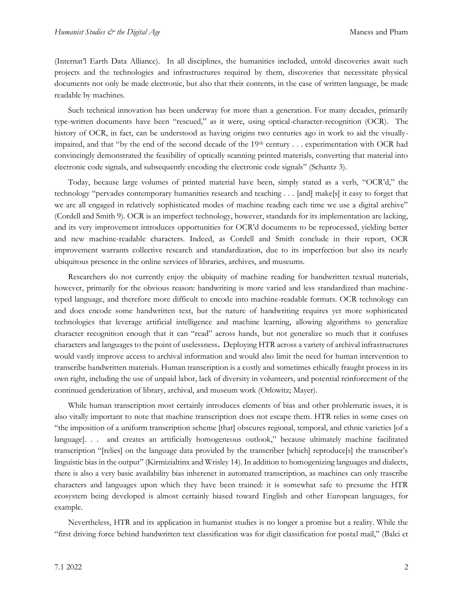(Internat'l Earth Data Alliance). In all disciplines, the humanities included, untold discoveries await such projects and the technologies and infrastructures required by them, discoveries that necessitate physical documents not only be made electronic, but also that their contents, in the case of written language, be made readable by machines.

Such technical innovation has been underway for more than a generation. For many decades, primarily type-written documents have been "rescued," as it were, using optical-character-recognition (OCR). The history of OCR, in fact, can be understood as having origins two centuries ago in work to aid the visuallyimpaired, and that "by the end of the second decade of the 19th century . . . experimentation with OCR had convincingly demonstrated the feasibility of optically scanning printed materials, converting that material into electronic code signals, and subsequently encoding the electronic code signals" (Schantz 3).

Today, because large volumes of printed material have been, simply stated as a verb, "OCR'd," the technology "pervades contemporary humanities research and teaching . . . [and] make[s] it easy to forget that we are all engaged in relatively sophisticated modes of machine reading each time we use a digital archive" (Cordell and Smith 9). OCR is an imperfect technology, however, standards for its implementation are lacking, and its very improvement introduces opportunities for OCR'd documents to be reprocessed, yielding better and new machine-readable characters. Indeed, as Cordell and Smith conclude in their report, OCR improvement warrants collective research and standardization, due to its imperfection but also its nearly ubiquitous presence in the online services of libraries, archives, and museums.

Researchers do not currently enjoy the ubiquity of machine reading for handwritten textual materials, however, primarily for the obvious reason: handwriting is more varied and less standardized than machinetyped language, and therefore more difficult to encode into machine-readable formats. OCR technology can and does encode some handwritten text, but the nature of handwriting requires yet more sophisticated technologies that leverage artificial intelligence and machine learning, allowing algorithms to generalize character recognition enough that it can "read" across hands, but not generalize so much that it confuses characters and languages to the point of uselessness**.** Deploying HTR across a variety of archival infrastructures would vastly improve access to archival information and would also limit the need for human intervention to transcribe handwritten materials. Human transcription is a costly and sometimes ethically fraught process in its own right, including the use of unpaid labor, lack of diversity in volunteers, and potential reinforcement of the continued genderization of library, archival, and museum work (Orlowitz; Mayer).

While human transcription most certainly introduces elements of bias and other problematic issues, it is also vitally important to note that machine transcription does not escape them. HTR relies in some cases on "the imposition of a uniform transcription scheme [that] obscures regional, temporal, and ethnic varieties [of a language]. . . and creates an artificially homogeneous outlook," because ultimately machine facilitated transcription "[relies] on the language data provided by the transcriber [which] reproduce[s] the transcriber's linguistic bias in the output" (Kirmizialtinx and Wrisley 14). In addition to homogenizing languages and dialects, there is also a very basic availability bias inherenet in automated transcription, as machines can only trascribe characters and languages upon which they have been trained: it is somewhat safe to presume the HTR ecosystem being developed is almost certainly biased toward English and other European languages, for example.

Nevertheless, HTR and its application in humanist studies is no longer a promise but a reality. While the "first driving force behind handwritten text classification was for digit classification for postal mail," (Balci et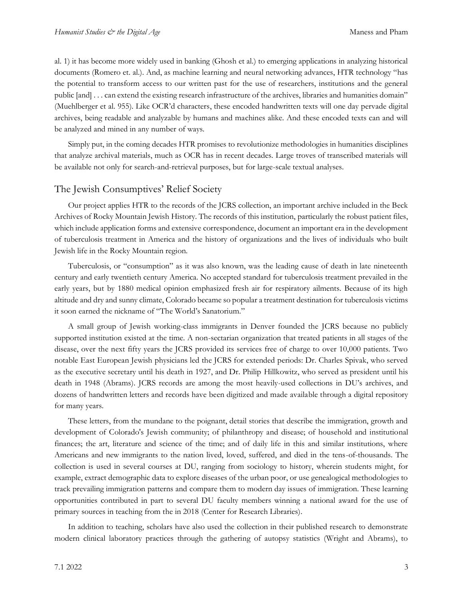al. 1) it has become more widely used in banking (Ghosh et al.) to emerging applications in analyzing historical documents (Romero et. al.). And, as machine learning and neural networking advances, HTR technology "has the potential to transform access to our written past for the use of researchers, institutions and the general public [and] . . . can extend the existing research infrastructure of the archives, libraries and humanities domain" (Muehlberger et al. 955). Like OCR'd characters, these encoded handwritten texts will one day pervade digital archives, being readable and analyzable by humans and machines alike. And these encoded texts can and will be analyzed and mined in any number of ways.

Simply put, in the coming decades HTR promises to revolutionize methodologies in humanities disciplines that analyze archival materials, much as OCR has in recent decades. Large troves of transcribed materials will be available not only for search-and-retrieval purposes, but for large-scale textual analyses.

#### The Jewish Consumptives' Relief Society

Our project applies HTR to the records of the JCRS collection, an important archive included in the Beck Archives of Rocky Mountain Jewish History. The records of this institution, particularly the robust patient files, which include application forms and extensive correspondence, document an important era in the development of tuberculosis treatment in America and the history of organizations and the lives of individuals who built Jewish life in the Rocky Mountain region.

Tuberculosis, or "consumption" as it was also known, was the leading cause of death in late nineteenth century and early twentieth century America. No accepted standard for tuberculosis treatment prevailed in the early years, but by 1880 medical opinion emphasized fresh air for respiratory ailments. Because of its high altitude and dry and sunny climate, Colorado became so popular a treatment destination for tuberculosis victims it soon earned the nickname of "The World's Sanatorium."

A small group of Jewish working-class immigrants in Denver founded the JCRS because no publicly supported institution existed at the time. A non-sectarian organization that treated patients in all stages of the disease, over the next fifty years the JCRS provided its services free of charge to over 10,000 patients. Two notable East European Jewish physicians led the JCRS for extended periods: Dr. Charles Spivak, who served as the executive secretary until his death in 1927, and Dr. Philip Hillkowitz, who served as president until his death in 1948 (Abrams). JCRS records are among the most heavily-used collections in DU's archives, and dozens of handwritten letters and records have been digitized and made available through a digital repository for many years.

These letters, from the mundane to the poignant, detail stories that describe the immigration, growth and development of Colorado's Jewish community; of philanthropy and disease; of household and institutional finances; the art, literature and science of the time; and of daily life in this and similar institutions, where Americans and new immigrants to the nation lived, loved, suffered, and died in the tens-of-thousands. The collection is used in several courses at DU, ranging from sociology to history, wherein students might, for example, extract demographic data to explore diseases of the urban poor, or use genealogical methodologies to track prevailing immigration patterns and compare them to modern day issues of immigration. These learning opportunities contributed in part to several DU faculty members winning a national award for the use of primary sources in teaching from the in 2018 (Center for Research Libraries).

In addition to teaching, scholars have also used the collection in their published research to demonstrate modern clinical laboratory practices through the gathering of autopsy statistics (Wright and Abrams), to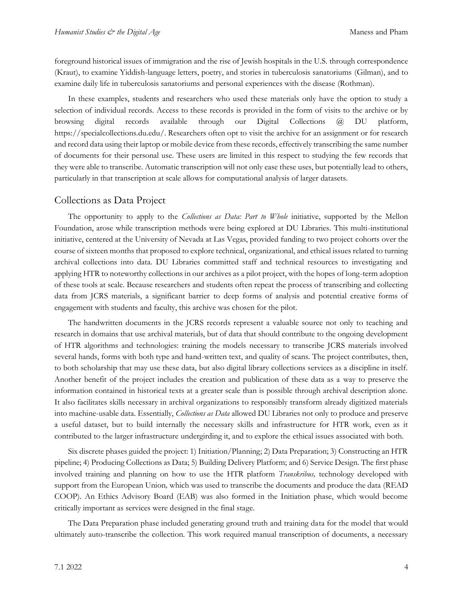foreground historical issues of immigration and the rise of Jewish hospitals in the U.S. through correspondence (Kraut), to examine Yiddish-language letters, poetry, and stories in tuberculosis sanatoriums (Gilman), and to examine daily life in tuberculosis sanatoriums and personal experiences with the disease (Rothman).

In these examples, students and researchers who used these materials only have the option to study a selection of individual records. Access to these records is provided in the form of visits to the archive or by browsing digital records available through our Digital Collections @ DU platform, https://specialcollections.du.edu/. Researchers often opt to visit the archive for an assignment or for research and record data using their laptop or mobile device from these records, effectively transcribing the same number of documents for their personal use. These users are limited in this respect to studying the few records that they were able to transcribe. Automatic transcription will not only ease these uses, but potentially lead to others, particularly in that transcription at scale allows for computational analysis of larger datasets.

#### Collections as Data Project

The opportunity to apply to the *Collections as Data: Part to Whole* initiative, supported by the Mellon Foundation, arose while transcription methods were being explored at DU Libraries. This multi-institutional initiative, centered at the University of Nevada at Las Vegas, provided funding to two project cohorts over the course of sixteen months that proposed to explore technical, organizational, and ethical issues related to turning archival collections into data. DU Libraries committed staff and technical resources to investigating and applying HTR to noteworthy collections in our archives as a pilot project, with the hopes of long-term adoption of these tools at scale. Because researchers and students often repeat the process of transcribing and collecting data from JCRS materials, a significant barrier to deep forms of analysis and potential creative forms of engagement with students and faculty, this archive was chosen for the pilot.

The handwritten documents in the JCRS records represent a valuable source not only to teaching and research in domains that use archival materials, but of data that should contribute to the ongoing development of HTR algorithms and technologies: training the models necessary to transcribe JCRS materials involved several hands, forms with both type and hand-written text, and quality of scans. The project contributes, then, to both scholarship that may use these data, but also digital library collections services as a discipline in itself. Another benefit of the project includes the creation and publication of these data as a way to preserve the information contained in historical texts at a greater scale than is possible through archival description alone. It also facilitates skills necessary in archival organizations to responsibly transform already digitized materials into machine-usable data. Essentially, *Collections as Data* allowed DU Libraries not only to produce and preserve a useful dataset, but to build internally the necessary skills and infrastructure for HTR work, even as it contributed to the larger infrastructure undergirding it, and to explore the ethical issues associated with both.

Six discrete phases guided the project: 1) Initiation/Planning; 2) Data Preparation; 3) Constructing an HTR pipeline; 4) Producing Collections as Data; 5) Building Delivery Platform; and 6) Service Design. The first phase involved training and planning on how to use the HTR platform *Transkribus,* technology developed with support from the European Union*,* which was used to transcribe the documents and produce the data (READ COOP). An Ethics Advisory Board (EAB) was also formed in the Initiation phase, which would become critically important as services were designed in the final stage.

The Data Preparation phase included generating ground truth and training data for the model that would ultimately auto-transcribe the collection. This work required manual transcription of documents, a necessary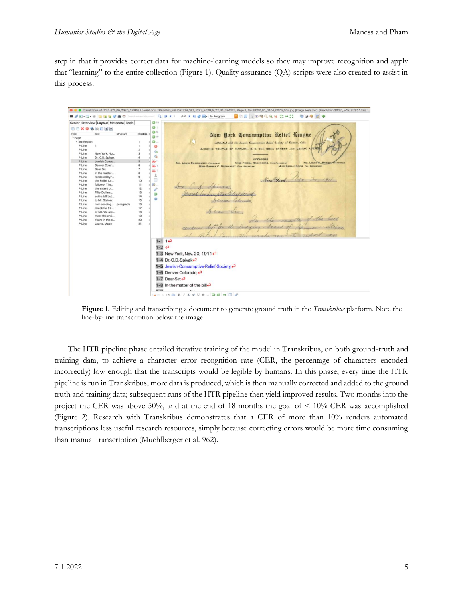step in that it provides correct data for machine-learning models so they may improve recognition and apply that "learning" to the entire collection (Figure 1). Quality assurance (QA) scripts were also created to assist in this process.



**Figure 1.** Editing and transcribing a document to generate ground truth in the *Transkribus* platform. Note the line-by-line transcription below the image.

The HTR pipeline phase entailed iterative training of the model in Transkribus, on both ground-truth and training data, to achieve a character error recognition rate (CER, the percentage of characters encoded incorrectly) low enough that the transcripts would be legible by humans. In this phase, every time the HTR pipeline is run in Transkribus, more data is produced, which is then manually corrected and added to the ground truth and training data; subsequent runs of the HTR pipeline then yield improved results. Two months into the project the CER was above 50%, and at the end of 18 months the goal of  $\leq 10\%$  CER was accomplished (Figure 2). Research with Transkribus demonstrates that a CER of more than 10% renders automated transcriptions less useful research resources, simply because correcting errors would be more time consuming than manual transcription (Muehlberger et al. 962).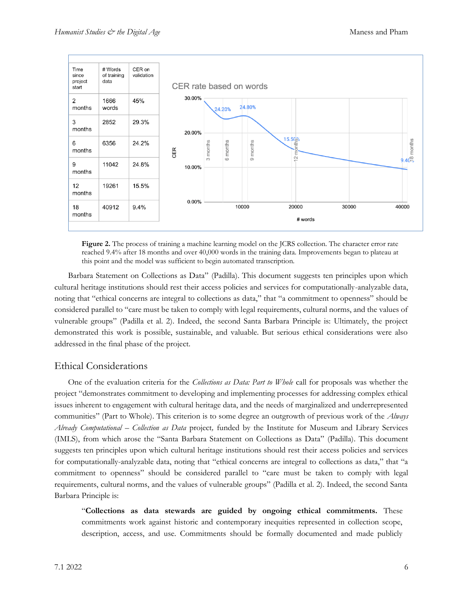

**Figure 2.** The process of training a machine learning model on the JCRS collection. The character error rate reached 9.4% after 18 months and over 40,000 words in the training data. Improvements began to plateau at this point and the model was sufficient to begin automated transcription.

Barbara Statement on Collections as Data" (Padilla). This document suggests ten principles upon which cultural heritage institutions should rest their access policies and services for computationally-analyzable data, noting that "ethical concerns are integral to collections as data," that "a commitment to openness" should be considered parallel to "care must be taken to comply with legal requirements, cultural norms, and the values of vulnerable groups" (Padilla et al. 2). Indeed, the second Santa Barbara Principle is: Ultimately, the project demonstrated this work is possible, sustainable, and valuable. But serious ethical considerations were also addressed in the final phase of the project.

## Ethical Considerations

One of the evaluation criteria for the *Collections as Data: Part to Whole* call for proposals was whether the project "demonstrates commitment to developing and implementing processes for addressing complex ethical issues inherent to engagement with cultural heritage data, and the needs of marginalized and underrepresented communities" (Part to Whole). This criterion is to some degree an outgrowth of previous work of the *Always Already Computational – Collection as Data* project*,* funded by the Institute for Museum and Library Services (IMLS), from which arose the "Santa Barbara Statement on Collections as Data" (Padilla). This document suggests ten principles upon which cultural heritage institutions should rest their access policies and services for computationally-analyzable data, noting that "ethical concerns are integral to collections as data," that "a commitment to openness" should be considered parallel to "care must be taken to comply with legal requirements, cultural norms, and the values of vulnerable groups" (Padilla et al. 2). Indeed, the second Santa Barbara Principle is:

"**Collections as data stewards are guided by ongoing ethical commitments.** These commitments work against historic and contemporary inequities represented in collection scope, description, access, and use. Commitments should be formally documented and made publicly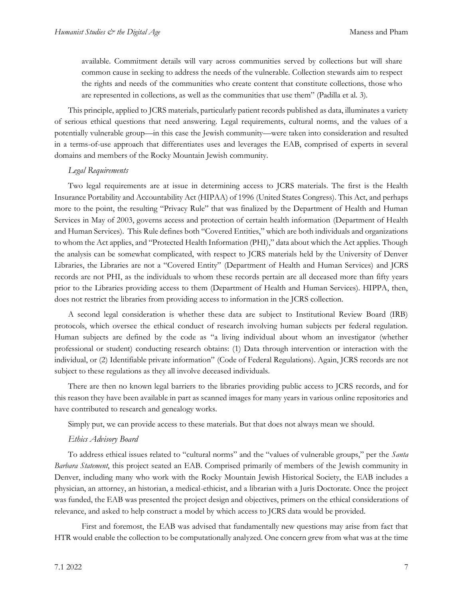available. Commitment details will vary across communities served by collections but will share common cause in seeking to address the needs of the vulnerable. Collection stewards aim to respect the rights and needs of the communities who create content that constitute collections, those who are represented in collections, as well as the communities that use them" (Padilla et al. 3).

This principle, applied to JCRS materials, particularly patient records published as data, illuminates a variety of serious ethical questions that need answering. Legal requirements, cultural norms, and the values of a potentially vulnerable group—in this case the Jewish community—were taken into consideration and resulted in a terms-of-use approach that differentiates uses and leverages the EAB, comprised of experts in several domains and members of the Rocky Mountain Jewish community.

#### *Legal Requirements*

Two legal requirements are at issue in determining access to JCRS materials. The first is the Health Insurance Portability and Accountability Act (HIPAA) of 1996 (United States Congress). This Act, and perhaps more to the point, the resulting "Privacy Rule" that was finalized by the Department of Health and Human Services in May of 2003, governs access and protection of certain health information (Department of Health and Human Services). This Rule defines both "Covered Entities," which are both individuals and organizations to whom the Act applies, and "Protected Health Information (PHI)," data about which the Act applies. Though the analysis can be somewhat complicated, with respect to JCRS materials held by the University of Denver Libraries, the Libraries are not a "Covered Entity" (Department of Health and Human Services) and JCRS records are not PHI, as the individuals to whom these records pertain are all deceased more than fifty years prior to the Libraries providing access to them (Department of Health and Human Services). HIPPA, then, does not restrict the libraries from providing access to information in the JCRS collection.

A second legal consideration is whether these data are subject to Institutional Review Board (IRB) protocols, which oversee the ethical conduct of research involving human subjects per federal regulation. Human subjects are defined by the code as "a living individual about whom an investigator (whether professional or student) conducting research obtains: (1) Data through intervention or interaction with the individual, or (2) Identifiable private information" (Code of Federal Regulations). Again, JCRS records are not subject to these regulations as they all involve deceased individuals.

There are then no known legal barriers to the libraries providing public access to JCRS records, and for this reason they have been available in part as scanned images for many years in various online repositories and have contributed to research and genealogy works.

Simply put, we can provide access to these materials. But that does not always mean we should.

#### *Ethics Advisory Board*

To address ethical issues related to "cultural norms" and the "values of vulnerable groups," per the *Santa Barbara Statement*, this project seated an EAB. Comprised primarily of members of the Jewish community in Denver, including many who work with the Rocky Mountain Jewish Historical Society, the EAB includes a physician, an attorney, an historian, a medical-ethicist, and a librarian with a Juris Doctorate. Once the project was funded, the EAB was presented the project design and objectives, primers on the ethical considerations of relevance, and asked to help construct a model by which access to JCRS data would be provided.

First and foremost, the EAB was advised that fundamentally new questions may arise from fact that HTR would enable the collection to be computationally analyzed. One concern grew from what was at the time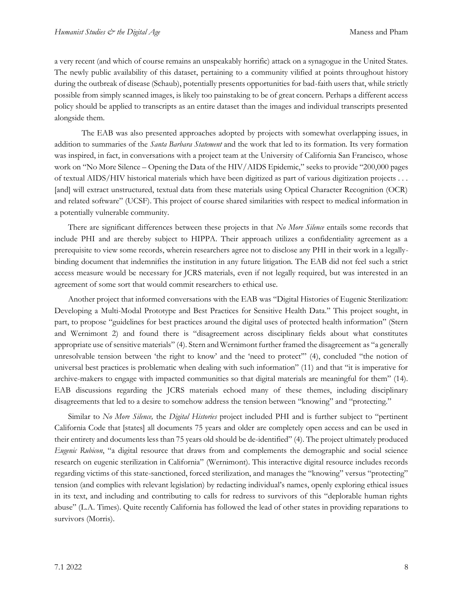a very recent (and which of course remains an unspeakably horrific) attack on a synagogue in the United States. The newly public availability of this dataset, pertaining to a community vilified at points throughout history during the outbreak of disease (Schaub), potentially presents opportunities for bad-faith users that, while strictly possible from simply scanned images, is likely too painstaking to be of great concern. Perhaps a different access policy should be applied to transcripts as an entire dataset than the images and individual transcripts presented alongside them.

The EAB was also presented approaches adopted by projects with somewhat overlapping issues, in addition to summaries of the *Santa Barbara Statement* and the work that led to its formation. Its very formation was inspired, in fact, in conversations with a project team at the University of California San Francisco, whose work on "No More Silence – Opening the Data of the HIV/AIDS Epidemic," seeks to provide "200,000 pages of textual AIDS/HIV historical materials which have been digitized as part of various digitization projects . . . [and] will extract unstructured, textual data from these materials using Optical Character Recognition (OCR) and related software" (UCSF). This project of course shared similarities with respect to medical information in a potentially vulnerable community.

There are significant differences between these projects in that *No More Silence* entails some records that include PHI and are thereby subject to HIPPA. Their approach utilizes a confidentiality agreement as a prerequisite to view some records, wherein researchers agree not to disclose any PHI in their work in a legallybinding document that indemnifies the institution in any future litigation. The EAB did not feel such a strict access measure would be necessary for JCRS materials, even if not legally required, but was interested in an agreement of some sort that would commit researchers to ethical use.

Another project that informed conversations with the EAB was "Digital Histories of Eugenic Sterilization: Developing a Multi-Modal Prototype and Best Practices for Sensitive Health Data." This project sought, in part, to propose "guidelines for best practices around the digital uses of protected health information" (Stern and Wernimont 2) and found there is "disagreement across disciplinary fields about what constitutes appropriate use of sensitive materials" (4). Stern and Wernimont further framed the disagreement as "a generally unresolvable tension between 'the right to know' and the 'need to protect'" (4), concluded "the notion of universal best practices is problematic when dealing with such information" (11) and that "it is imperative for archive-makers to engage with impacted communities so that digital materials are meaningful for them" (14). EAB discussions regarding the JCRS materials echoed many of these themes, including disciplinary disagreements that led to a desire to somehow address the tension between "knowing" and "protecting."

Similar to *No More Silence,* the *Digital Histories* project included PHI and is further subject to "pertinent California Code that [states] all documents 75 years and older are completely open access and can be used in their entirety and documents less than 75 years old should be de-identified" (4). The project ultimately produced *Eugenic Rubicon*, "a digital resource that draws from and complements the demographic and social science research on eugenic sterilization in California" (Wernimont). This interactive digital resource includes records regarding victims of this state-sanctioned, forced sterilization, and manages the "knowing" versus "protecting" tension (and complies with relevant legislation) by redacting individual's names, openly exploring ethical issues in its text, and including and contributing to calls for redress to survivors of this "deplorable human rights abuse" (L.A. Times). Quite recently California has followed the lead of other states in providing reparations to survivors (Morris).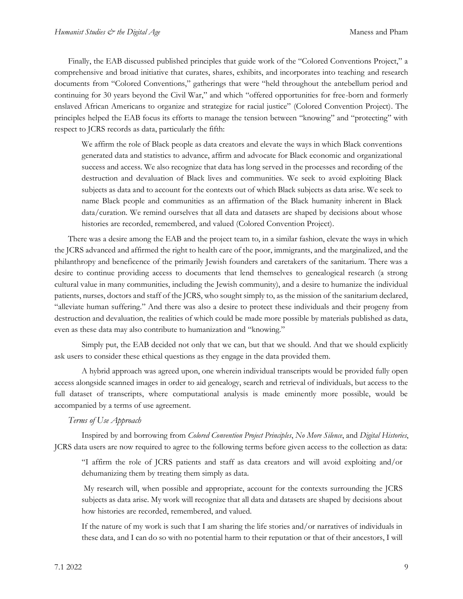Finally, the EAB discussed published principles that guide work of the "Colored Conventions Project," a comprehensive and broad initiative that curates, shares, exhibits, and incorporates into teaching and research documents from "Colored Conventions," gatherings that were "held throughout the antebellum period and continuing for 30 years beyond the Civil War," and which "offered opportunities for free-born and formerly enslaved African Americans to organize and strategize for racial justice" (Colored Convention Project). The principles helped the EAB focus its efforts to manage the tension between "knowing" and "protecting" with respect to JCRS records as data, particularly the fifth:

We affirm the role of Black people as data creators and elevate the ways in which Black conventions generated data and statistics to advance, affirm and advocate for Black economic and organizational success and access. We also recognize that data has long served in the processes and recording of the destruction and devaluation of Black lives and communities. We seek to avoid exploiting Black subjects as data and to account for the contexts out of which Black subjects as data arise. We seek to name Black people and communities as an affirmation of the Black humanity inherent in Black data/curation. We remind ourselves that all data and datasets are shaped by decisions about whose histories are recorded, remembered, and valued (Colored Convention Project).

There was a desire among the EAB and the project team to, in a similar fashion, elevate the ways in which the JCRS advanced and affirmed the right to health care of the poor, immigrants, and the marginalized, and the philanthropy and beneficence of the primarily Jewish founders and caretakers of the sanitarium. There was a desire to continue providing access to documents that lend themselves to genealogical research (a strong cultural value in many communities, including the Jewish community), and a desire to humanize the individual patients, nurses, doctors and staff of the JCRS, who sought simply to, as the mission of the sanitarium declared, "alleviate human suffering." And there was also a desire to protect these individuals and their progeny from destruction and devaluation, the realities of which could be made more possible by materials published as data, even as these data may also contribute to humanization and "knowing."

Simply put, the EAB decided not only that we can, but that we should. And that we should explicitly ask users to consider these ethical questions as they engage in the data provided them.

A hybrid approach was agreed upon, one wherein individual transcripts would be provided fully open access alongside scanned images in order to aid genealogy, search and retrieval of individuals, but access to the full dataset of transcripts, where computational analysis is made eminently more possible, would be accompanied by a terms of use agreement.

#### *Terms of Use Approach*

Inspired by and borrowing from *Colored Convention Project Principles*, *No More Silence*, and *Digital Histories*, JCRS data users are now required to agree to the following terms before given access to the collection as data:

"I affirm the role of JCRS patients and staff as data creators and will avoid exploiting and/or dehumanizing them by treating them simply as data.

My research will, when possible and appropriate, account for the contexts surrounding the JCRS subjects as data arise. My work will recognize that all data and datasets are shaped by decisions about how histories are recorded, remembered, and valued.

If the nature of my work is such that I am sharing the life stories and/or narratives of individuals in these data, and I can do so with no potential harm to their reputation or that of their ancestors, I will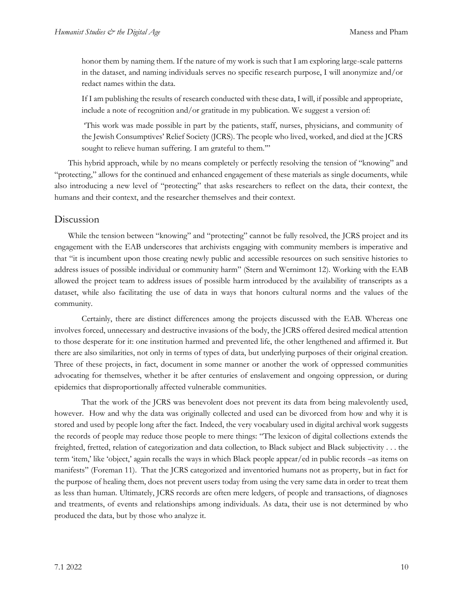honor them by naming them. If the nature of my work is such that I am exploring large-scale patterns in the dataset, and naming individuals serves no specific research purpose, I will anonymize and/or redact names within the data.

If I am publishing the results of research conducted with these data, I will, if possible and appropriate, include a note of recognition and/or gratitude in my publication. We suggest a version of:

'This work was made possible in part by the patients, staff, nurses, physicians, and community of the Jewish Consumptives' Relief Society (JCRS). The people who lived, worked, and died at the JCRS sought to relieve human suffering. I am grateful to them."

This hybrid approach, while by no means completely or perfectly resolving the tension of "knowing" and "protecting," allows for the continued and enhanced engagement of these materials as single documents, while also introducing a new level of "protecting" that asks researchers to reflect on the data, their context, the humans and their context, and the researcher themselves and their context.

### Discussion

While the tension between "knowing" and "protecting" cannot be fully resolved, the JCRS project and its engagement with the EAB underscores that archivists engaging with community members is imperative and that "it is incumbent upon those creating newly public and accessible resources on such sensitive histories to address issues of possible individual or community harm" (Stern and Wernimont 12). Working with the EAB allowed the project team to address issues of possible harm introduced by the availability of transcripts as a dataset, while also facilitating the use of data in ways that honors cultural norms and the values of the community.

Certainly, there are distinct differences among the projects discussed with the EAB. Whereas one involves forced, unnecessary and destructive invasions of the body, the JCRS offered desired medical attention to those desperate for it: one institution harmed and prevented life, the other lengthened and affirmed it. But there are also similarities, not only in terms of types of data, but underlying purposes of their original creation. Three of these projects, in fact, document in some manner or another the work of oppressed communities advocating for themselves, whether it be after centuries of enslavement and ongoing oppression, or during epidemics that disproportionally affected vulnerable communities.

That the work of the JCRS was benevolent does not prevent its data from being malevolently used, however. How and why the data was originally collected and used can be divorced from how and why it is stored and used by people long after the fact. Indeed, the very vocabulary used in digital archival work suggests the records of people may reduce those people to mere things: "The lexicon of digital collections extends the freighted, fretted, relation of categorization and data collection, to Black subject and Black subjectivity . . . the term 'item,' like 'object,' again recalls the ways in which Black people appear/ed in public records –as items on manifests" (Foreman 11). That the JCRS categorized and inventoried humans not as property, but in fact for the purpose of healing them, does not prevent users today from using the very same data in order to treat them as less than human. Ultimately, JCRS records are often mere ledgers, of people and transactions, of diagnoses and treatments, of events and relationships among individuals. As data, their use is not determined by who produced the data, but by those who analyze it.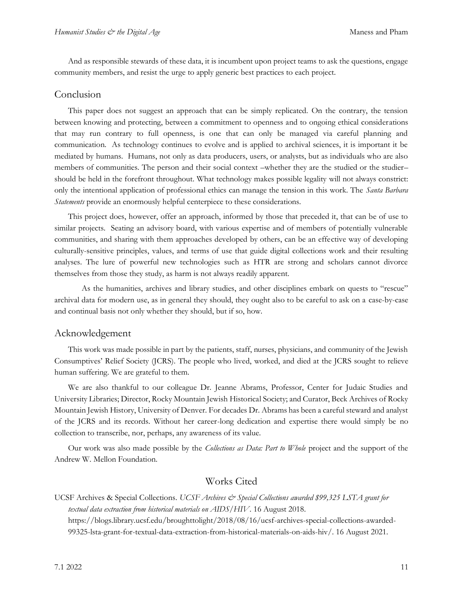And as responsible stewards of these data, it is incumbent upon project teams to ask the questions, engage community members, and resist the urge to apply generic best practices to each project.

#### Conclusion

This paper does not suggest an approach that can be simply replicated. On the contrary, the tension between knowing and protecting, between a commitment to openness and to ongoing ethical considerations that may run contrary to full openness, is one that can only be managed via careful planning and communication. As technology continues to evolve and is applied to archival sciences, it is important it be mediated by humans. Humans, not only as data producers, users, or analysts, but as individuals who are also members of communities. The person and their social context –whether they are the studied or the studier– should be held in the forefront throughout. What technology makes possible legality will not always constrict: only the intentional application of professional ethics can manage the tension in this work. The *Santa Barbara Statements* provide an enormously helpful centerpiece to these considerations.

This project does, however, offer an approach, informed by those that preceded it, that can be of use to similar projects. Seating an advisory board, with various expertise and of members of potentially vulnerable communities, and sharing with them approaches developed by others, can be an effective way of developing culturally-sensitive principles, values, and terms of use that guide digital collections work and their resulting analyses. The lure of powerful new technologies such as HTR are strong and scholars cannot divorce themselves from those they study, as harm is not always readily apparent.

As the humanities, archives and library studies, and other disciplines embark on quests to "rescue" archival data for modern use, as in general they should, they ought also to be careful to ask on a case-by-case and continual basis not only whether they should, but if so, how.

#### Acknowledgement

This work was made possible in part by the patients, staff, nurses, physicians, and community of the Jewish Consumptives' Relief Society (JCRS). The people who lived, worked, and died at the JCRS sought to relieve human suffering. We are grateful to them.

We are also thankful to our colleague Dr. Jeanne Abrams, Professor, Center for Judaic Studies and University Libraries; Director, Rocky Mountain Jewish Historical Society; and Curator, Beck Archives of Rocky Mountain Jewish History, University of Denver. For decades Dr. Abrams has been a careful steward and analyst of the JCRS and its records. Without her career-long dedication and expertise there would simply be no collection to transcribe, nor, perhaps, any awareness of its value.

Our work was also made possible by the *Collections as Data: Part to Whole* project and the support of the Andrew W. Mellon Foundation.

### Works Cited

UCSF Archives & Special Collections. *UCSF Archives & Special Collections awarded \$99,325 LSTA grant for textual data extraction from historical materials on AIDS/HIV*. 16 August 2018. https://blogs.library.ucsf.edu/broughttolight/2018/08/16/ucsf-archives-special-collections-awarded-99325-lsta-grant-for-textual-data-extraction-from-historical-materials-on-aids-hiv/. 16 August 2021.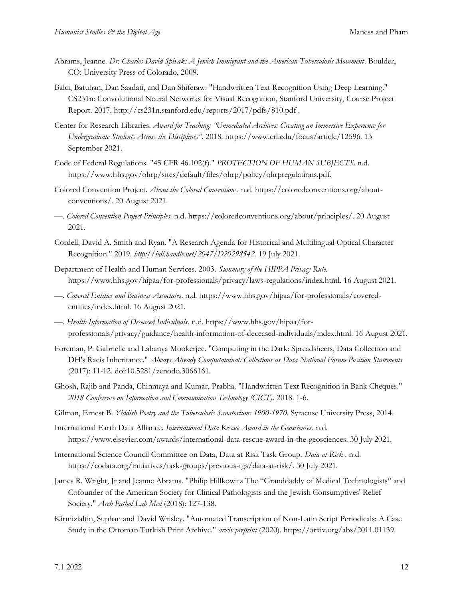- Abrams, Jeanne. *Dr. Charles David Spivak: A Jewish Immigrant and the American Tuberculosis Movement*. Boulder, CO: University Press of Colorado, 2009.
- Balci, Batuhan, Dan Saadati, and Dan Shiferaw. "Handwritten Text Recognition Using Deep Learning." CS231n: Convolutional Neural Networks for Visual Recognition, Stanford University, Course Project Report. 2017. http://cs231n.stanford.edu/reports/2017/pdfs/810.pdf .
- Center for Research Libraries. *Award for Teaching: "Unmediated Archives: Creating an Immersive Experience for Undergraduate Students Across the Disciplines"*. 2018. https://www.crl.edu/focus/article/12596. 13 September 2021.
- Code of Federal Regulations. "45 CFR 46.102(f)." *PROTECTION OF HUMAN SUBJECTS*. n.d. https://www.hhs.gov/ohrp/sites/default/files/ohrp/policy/ohrpregulations.pdf.
- Colored Convention Project. *About the Colored Conventions*. n.d. https://coloredconventions.org/aboutconventions/. 20 August 2021.
- —. *Colored Convention Project Principles*. n.d. https://coloredconventions.org/about/principles/. 20 August 2021.
- Cordell, David A. Smith and Ryan. "A Research Agenda for Historical and Multilingual Optical Character Recognition." 2019. *http://hdl.handle.net/2047/D20298542.* 19 July 2021.
- Department of Health and Human Services. 2003. *Summary of the HIPPA Privacy Rule.* https://www.hhs.gov/hipaa/for-professionals/privacy/laws-regulations/index.html. 16 August 2021.
- —. *Covered Entities and Business Associates*. n.d. https://www.hhs.gov/hipaa/for-professionals/coveredentities/index.html. 16 August 2021.
- —. *Health Information of Deceased Individuals*. n.d. https://www.hhs.gov/hipaa/forprofessionals/privacy/guidance/health-information-of-deceased-individuals/index.html. 16 August 2021.
- Foreman, P. Gabrielle and Labanya Mookerjee. "Computing in the Dark: Spreadsheets, Data Collection and DH's Racis Inheritance." *Always Already Computatoinal: Collections as Data National Forum Position Statements* (2017): 11-12. doi:10.5281/zenodo.3066161.
- Ghosh, Rajib and Panda, Chinmaya and Kumar, Prabha. "Handwritten Text Recognition in Bank Cheques." *2018 Conference on Information and Communication Technology (CICT)*. 2018. 1-6.
- Gilman, Ernest B. *Yiddish Poetry and the Tuberculosis Sanatorium: 1900-1970*. Syracuse University Press, 2014.
- International Earth Data Alliance. *International Data Rescue Award in the Geosciences*. n.d. https://www.elsevier.com/awards/international-data-rescue-award-in-the-geosciences. 30 July 2021.
- International Science Council Committee on Data, Data at Risk Task Group. *Data at Risk* . n.d. https://codata.org/initiatives/task-groups/previous-tgs/data-at-risk/. 30 July 2021.
- James R. Wright, Jr and Jeanne Abrams. "Philip Hillkowitz The "Granddaddy of Medical Technologists" and Cofounder of the American Society for Clinical Pathologists and the Jewish Consumptives' Relief Society." *Arch Pathol Lab Med* (2018): 127-138.
- Kirmizialtin, Suphan and David Wrisley. "Automated Transcription of Non-Latin Script Periodicals: A Case Study in the Ottoman Turkish Print Archive." *arxiv preprint* (2020). https://arxiv.org/abs/2011.01139.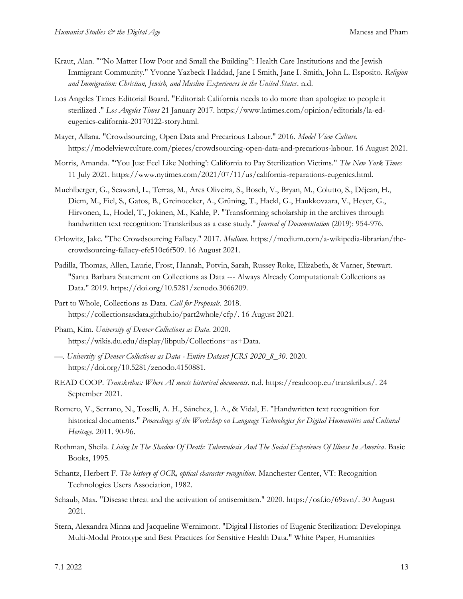- Kraut, Alan. ""No Matter How Poor and Small the Building": Health Care Institutions and the Jewish Immigrant Community." Yvonne Yazbeck Haddad, Jane I Smith, Jane I. Smith, John L. Esposito. *Religion and Immigration: Christian, Jewish, and Muslim Experiences in the United States*. n.d.
- Los Angeles Times Editorial Board. "Editorial: California needs to do more than apologize to people it sterilized ." *Los Angeles Times* 21 January 2017. https://www.latimes.com/opinion/editorials/la-edeugenics-california-20170122-story.html.
- Mayer, Allana. "Crowdsourcing, Open Data and Precarious Labour." 2016. *Model View Culture.* https://modelviewculture.com/pieces/crowdsourcing-open-data-and-precarious-labour. 16 August 2021.
- Morris, Amanda. "'You Just Feel Like Nothing': California to Pay Sterilization Victims." *The New York Times* 11 July 2021. https://www.nytimes.com/2021/07/11/us/california-reparations-eugenics.html.
- Muehlberger, G., Seaward, L., Terras, M., Ares Oliveira, S., Bosch, V., Bryan, M., Colutto, S., Déjean, H., Diem, M., Fiel, S., Gatos, B., Greinoecker, A., Grüning, T., Hackl, G., Haukkovaara, V., Heyer, G., Hirvonen, L., Hodel, T., Jokinen, M., Kahle, P. "Transforming scholarship in the archives through handwritten text recognition: Transkribus as a case study." *Journal of Documentation* (2019): 954-976.
- Orlowitz, Jake. "The Crowdsourcing Fallacy." 2017. *Medium.* https://medium.com/a-wikipedia-librarian/thecrowdsourcing-fallacy-efe510c6f509. 16 August 2021.
- Padilla, Thomas, Allen, Laurie, Frost, Hannah, Potvin, Sarah, Russey Roke, Elizabeth, & Varner, Stewart. "Santa Barbara Statement on Collections as Data --- Always Already Computational: Collections as Data." 2019. https://doi.org/10.5281/zenodo.3066209.
- Part to Whole, Collections as Data. *Call for Proposals*. 2018. https://collectionsasdata.github.io/part2whole/cfp/. 16 August 2021.
- Pham, Kim. *University of Denver Collections as Data*. 2020. https://wikis.du.edu/display/libpub/Collections+as+Data.
- —. *University of Denver Collections as Data - Entire Dataset JCRS 2020\_8\_30*. 2020. https://doi.org/10.5281/zenodo.4150881.
- READ COOP. *Transkribus: Where AI meets historical documents*. n.d. https://readcoop.eu/transkribus/. 24 September 2021.
- Romero, V., Serrano, N., Toselli, A. H., Sánchez, J. A., & Vidal, E. "Handwritten text recognition for historical documents." *Proceedings of the Workshop on Language Technologies for Digital Humanities and Cultural Heritage*. 2011. 90-96.
- Rothman, Sheila. *Living In The Shadow Of Death: Tuberculosis And The Social Experience Of Illness In America*. Basic Books, 1995.
- Schantz, Herbert F. *The history of OCR, optical character recognition*. Manchester Center, VT: Recognition Technologies Users Association, 1982.
- Schaub, Max. "Disease threat and the activation of antisemitism." 2020. https://osf.io/69avn/. 30 August 2021.
- Stern, Alexandra Minna and Jacqueline Wernimont. "Digital Histories of Eugenic Sterilization: Developinga Multi-Modal Prototype and Best Practices for Sensitive Health Data." White Paper, Humanities